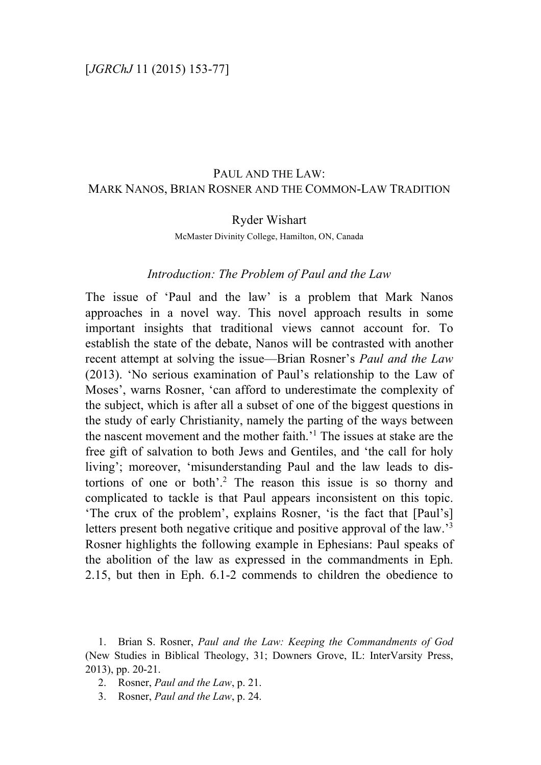# PAUL AND THE LAW: MARK NANOS, BRIAN ROSNER AND THE COMMON-LAW TRADITION

## Ryder Wishart

McMaster Divinity College, Hamilton, ON, Canada

# *Introduction: The Problem of Paul and the Law*

The issue of 'Paul and the law' is a problem that Mark Nanos approaches in a novel way. This novel approach results in some important insights that traditional views cannot account for. To establish the state of the debate, Nanos will be contrasted with another recent attempt at solving the issue—Brian Rosner's *Paul and the Law* (2013). 'No serious examination of Paul's relationship to the Law of Moses', warns Rosner, 'can afford to underestimate the complexity of the subject, which is after all a subset of one of the biggest questions in the study of early Christianity, namely the parting of the ways between the nascent movement and the mother faith.' <sup>1</sup> The issues at stake are the free gift of salvation to both Jews and Gentiles, and 'the call for holy living'; moreover, 'misunderstanding Paul and the law leads to distortions of one or both'.<sup>2</sup> The reason this issue is so thorny and complicated to tackle is that Paul appears inconsistent on this topic. 'The crux of the problem', explains Rosner, 'is the fact that [Paul's] letters present both negative critique and positive approval of the law.<sup>3</sup> Rosner highlights the following example in Ephesians: Paul speaks of the abolition of the law as expressed in the commandments in Eph. 2.15, but then in Eph. 6.1-2 commends to children the obedience to

- 2. Rosner, *Paul and the Law*, p. 21.
- 3. Rosner, *Paul and the Law*, p. 24.

<sup>1.</sup> Brian S. Rosner, *Paul and the Law: Keeping the Commandments of God* (New Studies in Biblical Theology, 31; Downers Grove, IL: InterVarsity Press, 2013), pp. 20-21.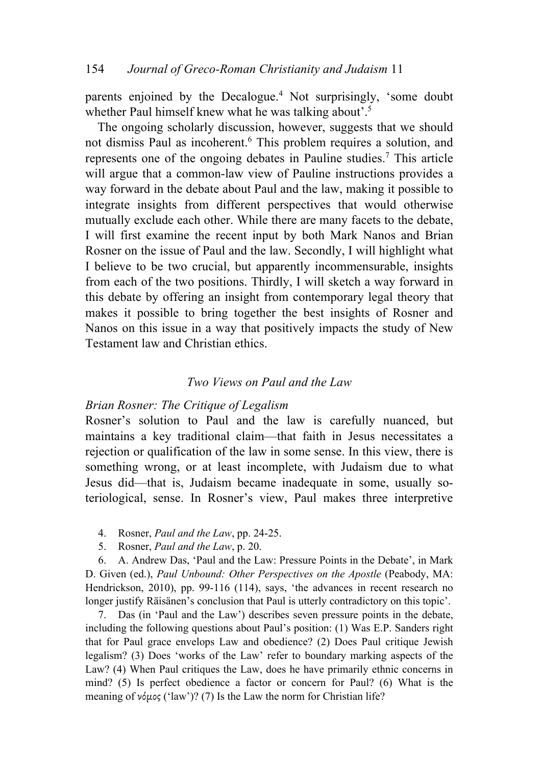parents enjoined by the Decalogue.4 Not surprisingly, 'some doubt whether Paul himself knew what he was talking about'.<sup>5</sup>

The ongoing scholarly discussion, however, suggests that we should not dismiss Paul as incoherent.<sup>6</sup> This problem requires a solution, and represents one of the ongoing debates in Pauline studies.7 This article will argue that a common-law view of Pauline instructions provides a way forward in the debate about Paul and the law, making it possible to integrate insights from different perspectives that would otherwise mutually exclude each other. While there are many facets to the debate, I will first examine the recent input by both Mark Nanos and Brian Rosner on the issue of Paul and the law. Secondly, I will highlight what I believe to be two crucial, but apparently incommensurable, insights from each of the two positions. Thirdly, I will sketch a way forward in this debate by offering an insight from contemporary legal theory that makes it possible to bring together the best insights of Rosner and Nanos on this issue in a way that positively impacts the study of New Testament law and Christian ethics.

### *Two Views on Paul and the Law*

### *Brian Rosner: The Critique of Legalism*

Rosner's solution to Paul and the law is carefully nuanced, but maintains a key traditional claim—that faith in Jesus necessitates a rejection or qualification of the law in some sense. In this view, there is something wrong, or at least incomplete, with Judaism due to what Jesus did—that is, Judaism became inadequate in some, usually soteriological, sense. In Rosner's view, Paul makes three interpretive

- 4. Rosner, *Paul and the Law*, pp. 24-25.
- 5. Rosner, *Paul and the Law*, p. 20.

6. A. Andrew Das, 'Paul and the Law: Pressure Points in the Debate', in Mark D. Given (ed.), *Paul Unbound: Other Perspectives on the Apostle* (Peabody, MA: Hendrickson, 2010), pp. 99-116 (114), says, 'the advances in recent research no longer justify Räisänen's conclusion that Paul is utterly contradictory on this topic'.

7. Das (in 'Paul and the Law') describes seven pressure points in the debate, including the following questions about Paul's position: (1) Was E.P. Sanders right that for Paul grace envelops Law and obedience? (2) Does Paul critique Jewish legalism? (3) Does 'works of the Law' refer to boundary marking aspects of the Law? (4) When Paul critiques the Law, does he have primarily ethnic concerns in mind? (5) Is perfect obedience a factor or concern for Paul? (6) What is the meaning of νόμος ('law')? (7) Is the Law the norm for Christian life?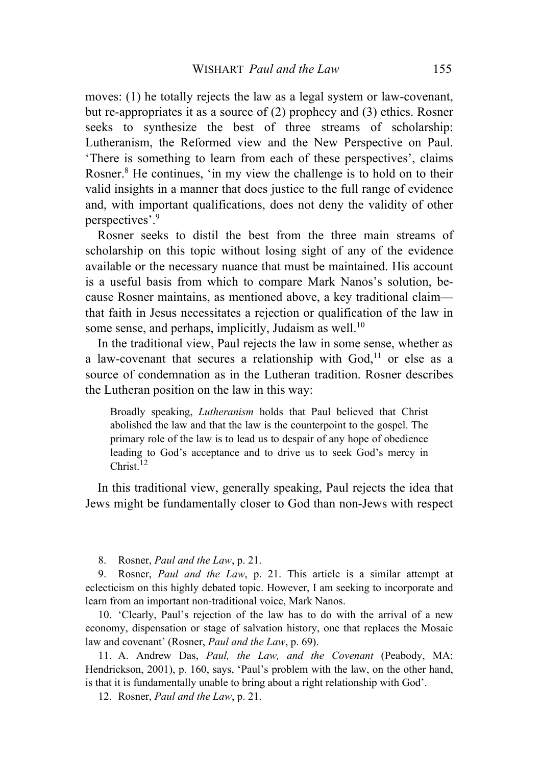moves: (1) he totally rejects the law as a legal system or law-covenant, but re-appropriates it as a source of (2) prophecy and (3) ethics. Rosner seeks to synthesize the best of three streams of scholarship: Lutheranism, the Reformed view and the New Perspective on Paul. 'There is something to learn from each of these perspectives', claims Rosner.<sup>8</sup> He continues, 'in my view the challenge is to hold on to their valid insights in a manner that does justice to the full range of evidence and, with important qualifications, does not deny the validity of other perspectives'.9

Rosner seeks to distil the best from the three main streams of scholarship on this topic without losing sight of any of the evidence available or the necessary nuance that must be maintained. His account is a useful basis from which to compare Mark Nanos's solution, because Rosner maintains, as mentioned above, a key traditional claim that faith in Jesus necessitates a rejection or qualification of the law in some sense, and perhaps, implicitly, Judaism as well.<sup>10</sup>

In the traditional view, Paul rejects the law in some sense, whether as a law-covenant that secures a relationship with  $God<sub>11</sub>$  or else as a source of condemnation as in the Lutheran tradition. Rosner describes the Lutheran position on the law in this way:

Broadly speaking, *Lutheranism* holds that Paul believed that Christ abolished the law and that the law is the counterpoint to the gospel. The primary role of the law is to lead us to despair of any hope of obedience leading to God's acceptance and to drive us to seek God's mercy in Christ.<sup>12</sup>

In this traditional view, generally speaking, Paul rejects the idea that Jews might be fundamentally closer to God than non-Jews with respect

8. Rosner, *Paul and the Law*, p. 21.

9. Rosner, *Paul and the Law*, p. 21. This article is a similar attempt at eclecticism on this highly debated topic. However, I am seeking to incorporate and learn from an important non-traditional voice, Mark Nanos.

10. 'Clearly, Paul's rejection of the law has to do with the arrival of a new economy, dispensation or stage of salvation history, one that replaces the Mosaic law and covenant' (Rosner, *Paul and the Law*, p. 69).

11. A. Andrew Das, *Paul, the Law, and the Covenant* (Peabody, MA: Hendrickson, 2001), p. 160, says, 'Paul's problem with the law, on the other hand, is that it is fundamentally unable to bring about a right relationship with God'.

12. Rosner, *Paul and the Law*, p. 21.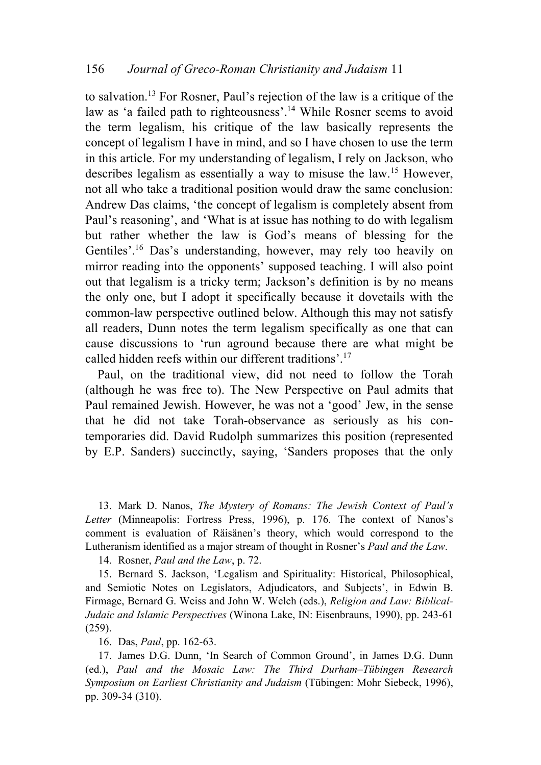to salvation. <sup>13</sup> For Rosner, Paul's rejection of the law is a critique of the law as 'a failed path to righteousness'.<sup>14</sup> While Rosner seems to avoid the term legalism, his critique of the law basically represents the concept of legalism I have in mind, and so I have chosen to use the term in this article. For my understanding of legalism, I rely on Jackson, who describes legalism as essentially a way to misuse the law.15 However, not all who take a traditional position would draw the same conclusion: Andrew Das claims, 'the concept of legalism is completely absent from Paul's reasoning', and 'What is at issue has nothing to do with legalism but rather whether the law is God's means of blessing for the Gentiles'.16 Das's understanding, however, may rely too heavily on mirror reading into the opponents' supposed teaching. I will also point out that legalism is a tricky term; Jackson's definition is by no means the only one, but I adopt it specifically because it dovetails with the common-law perspective outlined below. Although this may not satisfy all readers, Dunn notes the term legalism specifically as one that can cause discussions to 'run aground because there are what might be called hidden reefs within our different traditions'.17

Paul, on the traditional view, did not need to follow the Torah (although he was free to). The New Perspective on Paul admits that Paul remained Jewish. However, he was not a 'good' Jew, in the sense that he did not take Torah-observance as seriously as his contemporaries did. David Rudolph summarizes this position (represented by E.P. Sanders) succinctly, saying, 'Sanders proposes that the only

13. Mark D. Nanos, *The Mystery of Romans: The Jewish Context of Paul's Letter* (Minneapolis: Fortress Press, 1996), p. 176. The context of Nanos's comment is evaluation of Räisänen's theory, which would correspond to the Lutheranism identified as a major stream of thought in Rosner's *Paul and the Law*.

14. Rosner, *Paul and the Law*, p. 72.

15. Bernard S. Jackson, 'Legalism and Spirituality: Historical, Philosophical, and Semiotic Notes on Legislators, Adjudicators, and Subjects', in Edwin B. Firmage, Bernard G. Weiss and John W. Welch (eds.), *Religion and Law: Biblical-Judaic and Islamic Perspectives* (Winona Lake, IN: Eisenbrauns, 1990), pp. 243-61 (259).

16. Das, *Paul*, pp. 162-63.

17. James D.G. Dunn, 'In Search of Common Ground', in James D.G. Dunn (ed.), *Paul and the Mosaic Law: The Third Durham–Tübingen Research Symposium on Earliest Christianity and Judaism* (Tübingen: Mohr Siebeck, 1996), pp. 309-34 (310).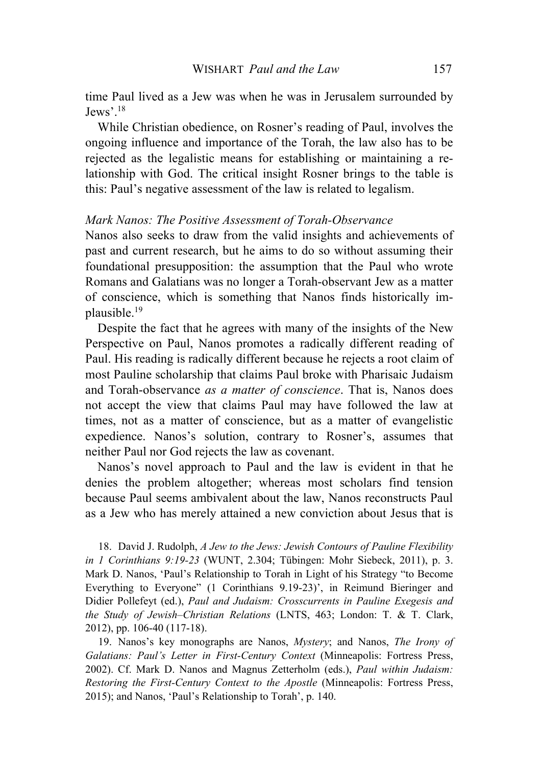time Paul lived as a Jew was when he was in Jerusalem surrounded by Jews'.18

While Christian obedience, on Rosner's reading of Paul, involves the ongoing influence and importance of the Torah, the law also has to be rejected as the legalistic means for establishing or maintaining a relationship with God. The critical insight Rosner brings to the table is this: Paul's negative assessment of the law is related to legalism.

#### *Mark Nanos: The Positive Assessment of Torah-Observance*

Nanos also seeks to draw from the valid insights and achievements of past and current research, but he aims to do so without assuming their foundational presupposition: the assumption that the Paul who wrote Romans and Galatians was no longer a Torah-observant Jew as a matter of conscience, which is something that Nanos finds historically implausible.19

Despite the fact that he agrees with many of the insights of the New Perspective on Paul, Nanos promotes a radically different reading of Paul. His reading is radically different because he rejects a root claim of most Pauline scholarship that claims Paul broke with Pharisaic Judaism and Torah-observance *as a matter of conscience*. That is, Nanos does not accept the view that claims Paul may have followed the law at times, not as a matter of conscience, but as a matter of evangelistic expedience. Nanos's solution, contrary to Rosner's, assumes that neither Paul nor God rejects the law as covenant.

Nanos's novel approach to Paul and the law is evident in that he denies the problem altogether; whereas most scholars find tension because Paul seems ambivalent about the law, Nanos reconstructs Paul as a Jew who has merely attained a new conviction about Jesus that is

18. David J. Rudolph, *A Jew to the Jews: Jewish Contours of Pauline Flexibility in 1 Corinthians 9:19-23* (WUNT, 2.304; Tübingen: Mohr Siebeck, 2011), p. 3. Mark D. Nanos, 'Paul's Relationship to Torah in Light of his Strategy "to Become Everything to Everyone" (1 Corinthians 9.19-23)', in Reimund Bieringer and Didier Pollefeyt (ed.), *Paul and Judaism: Crosscurrents in Pauline Exegesis and the Study of Jewish–Christian Relations* (LNTS, 463; London: T. & T. Clark, 2012), pp. 106-40 (117-18).

19. Nanos's key monographs are Nanos, *Mystery*; and Nanos, *The Irony of Galatians: Paul's Letter in First-Century Context* (Minneapolis: Fortress Press, 2002). Cf. Mark D. Nanos and Magnus Zetterholm (eds.), *Paul within Judaism: Restoring the First-Century Context to the Apostle* (Minneapolis: Fortress Press, 2015); and Nanos, 'Paul's Relationship to Torah', p. 140.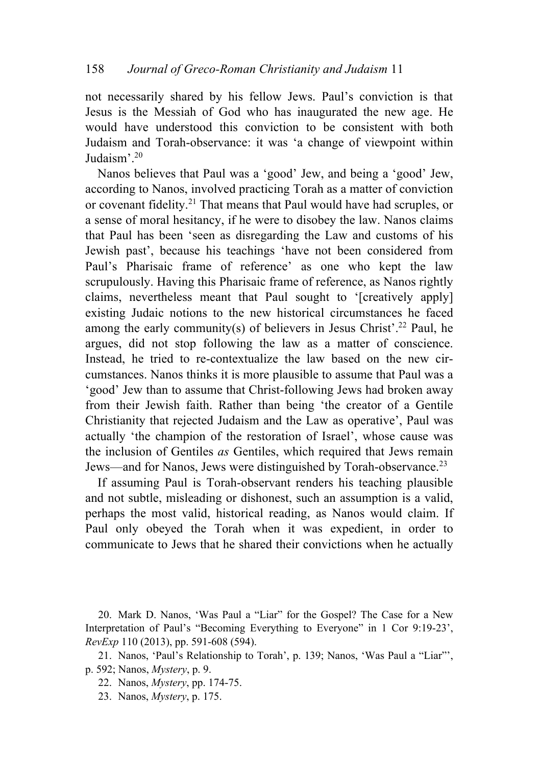not necessarily shared by his fellow Jews. Paul's conviction is that Jesus is the Messiah of God who has inaugurated the new age. He would have understood this conviction to be consistent with both Judaism and Torah-observance: it was 'a change of viewpoint within Judaism'.20

Nanos believes that Paul was a 'good' Jew, and being a 'good' Jew, according to Nanos, involved practicing Torah as a matter of conviction or covenant fidelity.21 That means that Paul would have had scruples, or a sense of moral hesitancy, if he were to disobey the law. Nanos claims that Paul has been 'seen as disregarding the Law and customs of his Jewish past', because his teachings 'have not been considered from Paul's Pharisaic frame of reference' as one who kept the law scrupulously. Having this Pharisaic frame of reference, as Nanos rightly claims, nevertheless meant that Paul sought to '[creatively apply] existing Judaic notions to the new historical circumstances he faced among the early community(s) of believers in Jesus Christ'.<sup>22</sup> Paul, he argues, did not stop following the law as a matter of conscience. Instead, he tried to re-contextualize the law based on the new circumstances. Nanos thinks it is more plausible to assume that Paul was a 'good' Jew than to assume that Christ-following Jews had broken away from their Jewish faith. Rather than being 'the creator of a Gentile Christianity that rejected Judaism and the Law as operative', Paul was actually 'the champion of the restoration of Israel', whose cause was the inclusion of Gentiles *as* Gentiles, which required that Jews remain Jews—and for Nanos, Jews were distinguished by Torah-observance.23

If assuming Paul is Torah-observant renders his teaching plausible and not subtle, misleading or dishonest, such an assumption is a valid, perhaps the most valid, historical reading, as Nanos would claim. If Paul only obeyed the Torah when it was expedient, in order to communicate to Jews that he shared their convictions when he actually

20. Mark D. Nanos, 'Was Paul a "Liar" for the Gospel? The Case for a New Interpretation of Paul's "Becoming Everything to Everyone" in 1 Cor 9:19-23', *RevExp* 110 (2013), pp. 591-608 (594).

21. Nanos, 'Paul's Relationship to Torah', p. 139; Nanos, 'Was Paul a "Liar"', p. 592; Nanos, *Mystery*, p. 9.

22. Nanos, *Mystery*, pp. 174-75.

23. Nanos, *Mystery*, p. 175.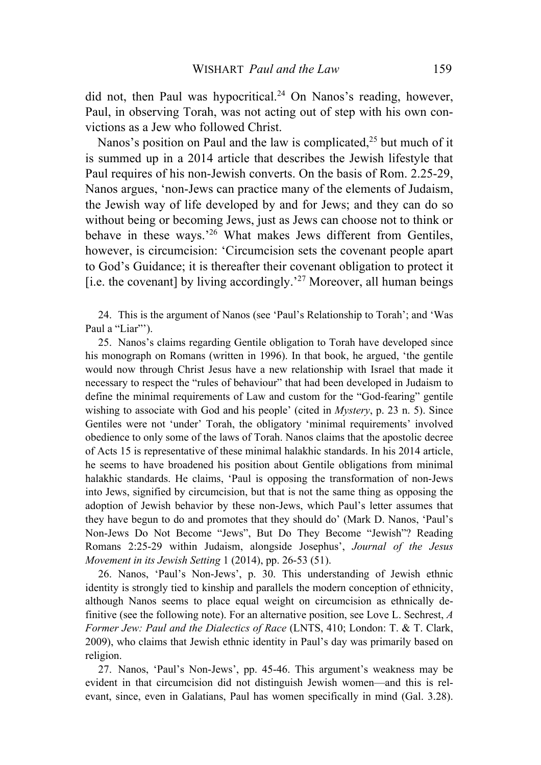did not, then Paul was hypocritical.<sup>24</sup> On Nanos's reading, however, Paul, in observing Torah, was not acting out of step with his own convictions as a Jew who followed Christ.

Nanos's position on Paul and the law is complicated,  $2<sup>5</sup>$  but much of it is summed up in a 2014 article that describes the Jewish lifestyle that Paul requires of his non-Jewish converts. On the basis of Rom. 2.25-29, Nanos argues, 'non-Jews can practice many of the elements of Judaism, the Jewish way of life developed by and for Jews; and they can do so without being or becoming Jews, just as Jews can choose not to think or behave in these ways.<sup>26</sup> What makes Jews different from Gentiles, however, is circumcision: 'Circumcision sets the covenant people apart to God's Guidance; it is thereafter their covenant obligation to protect it [i.e. the covenant] by living accordingly.<sup>27</sup> Moreover, all human beings

24. This is the argument of Nanos (see 'Paul's Relationship to Torah'; and 'Was Paul a "Liar"').

25. Nanos's claims regarding Gentile obligation to Torah have developed since his monograph on Romans (written in 1996). In that book, he argued, 'the gentile would now through Christ Jesus have a new relationship with Israel that made it necessary to respect the "rules of behaviour" that had been developed in Judaism to define the minimal requirements of Law and custom for the "God-fearing" gentile wishing to associate with God and his people' (cited in *Mystery*, p. 23 n. 5). Since Gentiles were not 'under' Torah, the obligatory 'minimal requirements' involved obedience to only some of the laws of Torah. Nanos claims that the apostolic decree of Acts 15 is representative of these minimal halakhic standards. In his 2014 article, he seems to have broadened his position about Gentile obligations from minimal halakhic standards. He claims, 'Paul is opposing the transformation of non-Jews into Jews, signified by circumcision, but that is not the same thing as opposing the adoption of Jewish behavior by these non-Jews, which Paul's letter assumes that they have begun to do and promotes that they should do' (Mark D. Nanos, 'Paul's Non-Jews Do Not Become "Jews", But Do They Become "Jewish"? Reading Romans 2:25-29 within Judaism, alongside Josephus', *Journal of the Jesus Movement in its Jewish Setting* 1 (2014), pp. 26-53 (51).

26. Nanos, 'Paul's Non-Jews', p. 30. This understanding of Jewish ethnic identity is strongly tied to kinship and parallels the modern conception of ethnicity, although Nanos seems to place equal weight on circumcision as ethnically definitive (see the following note). For an alternative position, see Love L. Sechrest, *A Former Jew: Paul and the Dialectics of Race* (LNTS, 410; London: T. & T. Clark, 2009), who claims that Jewish ethnic identity in Paul's day was primarily based on religion.

27. Nanos, 'Paul's Non-Jews', pp. 45-46. This argument's weakness may be evident in that circumcision did not distinguish Jewish women—and this is relevant, since, even in Galatians, Paul has women specifically in mind (Gal. 3.28).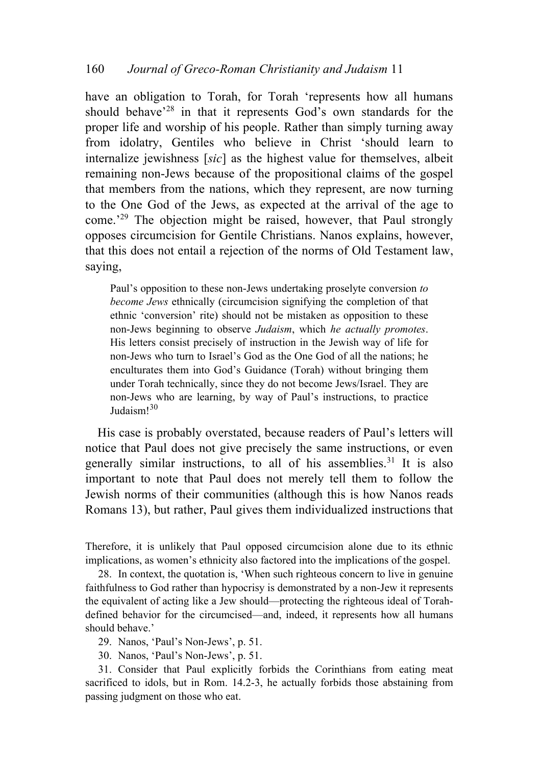have an obligation to Torah, for Torah 'represents how all humans should behave<sup>28</sup> in that it represents God's own standards for the proper life and worship of his people. Rather than simply turning away from idolatry, Gentiles who believe in Christ 'should learn to internalize jewishness [*sic*] as the highest value for themselves, albeit remaining non-Jews because of the propositional claims of the gospel that members from the nations, which they represent, are now turning to the One God of the Jews, as expected at the arrival of the age to come.<sup>29</sup> The objection might be raised, however, that Paul strongly opposes circumcision for Gentile Christians. Nanos explains, however, that this does not entail a rejection of the norms of Old Testament law, saying,

Paul's opposition to these non-Jews undertaking proselyte conversion *to become Jews* ethnically (circumcision signifying the completion of that ethnic 'conversion' rite) should not be mistaken as opposition to these non-Jews beginning to observe *Judaism*, which *he actually promotes*. His letters consist precisely of instruction in the Jewish way of life for non-Jews who turn to Israel's God as the One God of all the nations; he enculturates them into God's Guidance (Torah) without bringing them under Torah technically, since they do not become Jews/Israel. They are non-Jews who are learning, by way of Paul's instructions, to practice Judaism<sup>130</sup>

His case is probably overstated, because readers of Paul's letters will notice that Paul does not give precisely the same instructions, or even generally similar instructions, to all of his assemblies.<sup>31</sup> It is also important to note that Paul does not merely tell them to follow the Jewish norms of their communities (although this is how Nanos reads Romans 13), but rather, Paul gives them individualized instructions that

Therefore, it is unlikely that Paul opposed circumcision alone due to its ethnic implications, as women's ethnicity also factored into the implications of the gospel.

28. In context, the quotation is, 'When such righteous concern to live in genuine faithfulness to God rather than hypocrisy is demonstrated by a non-Jew it represents the equivalent of acting like a Jew should—protecting the righteous ideal of Torahdefined behavior for the circumcised—and, indeed, it represents how all humans should behave.'

29. Nanos, 'Paul's Non-Jews', p. 51.

30. Nanos, 'Paul's Non-Jews', p. 51.

31. Consider that Paul explicitly forbids the Corinthians from eating meat sacrificed to idols, but in Rom. 14.2-3, he actually forbids those abstaining from passing judgment on those who eat.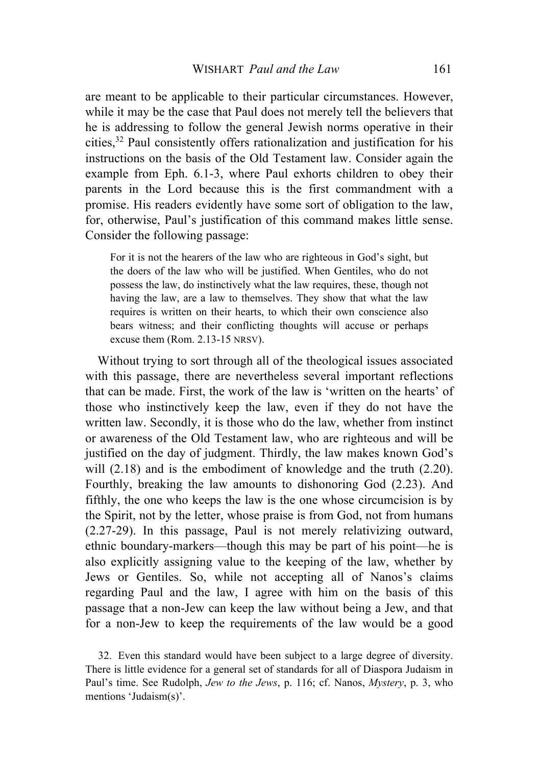are meant to be applicable to their particular circumstances. However, while it may be the case that Paul does not merely tell the believers that he is addressing to follow the general Jewish norms operative in their cities,32 Paul consistently offers rationalization and justification for his instructions on the basis of the Old Testament law. Consider again the example from Eph. 6.1-3, where Paul exhorts children to obey their parents in the Lord because this is the first commandment with a promise. His readers evidently have some sort of obligation to the law, for, otherwise, Paul's justification of this command makes little sense. Consider the following passage:

For it is not the hearers of the law who are righteous in God's sight, but the doers of the law who will be justified. When Gentiles, who do not possess the law, do instinctively what the law requires, these, though not having the law, are a law to themselves. They show that what the law requires is written on their hearts, to which their own conscience also bears witness; and their conflicting thoughts will accuse or perhaps excuse them (Rom. 2.13-15 NRSV).

Without trying to sort through all of the theological issues associated with this passage, there are nevertheless several important reflections that can be made. First, the work of the law is 'written on the hearts' of those who instinctively keep the law, even if they do not have the written law. Secondly, it is those who do the law, whether from instinct or awareness of the Old Testament law, who are righteous and will be justified on the day of judgment. Thirdly, the law makes known God's will  $(2.18)$  and is the embodiment of knowledge and the truth  $(2.20)$ . Fourthly, breaking the law amounts to dishonoring God (2.23). And fifthly, the one who keeps the law is the one whose circumcision is by the Spirit, not by the letter, whose praise is from God, not from humans (2.27-29). In this passage, Paul is not merely relativizing outward, ethnic boundary-markers—though this may be part of his point—he is also explicitly assigning value to the keeping of the law, whether by Jews or Gentiles. So, while not accepting all of Nanos's claims regarding Paul and the law, I agree with him on the basis of this passage that a non-Jew can keep the law without being a Jew, and that for a non-Jew to keep the requirements of the law would be a good

32. Even this standard would have been subject to a large degree of diversity. There is little evidence for a general set of standards for all of Diaspora Judaism in Paul's time. See Rudolph, *Jew to the Jews*, p. 116; cf. Nanos, *Mystery*, p. 3, who mentions 'Judaism(s)'.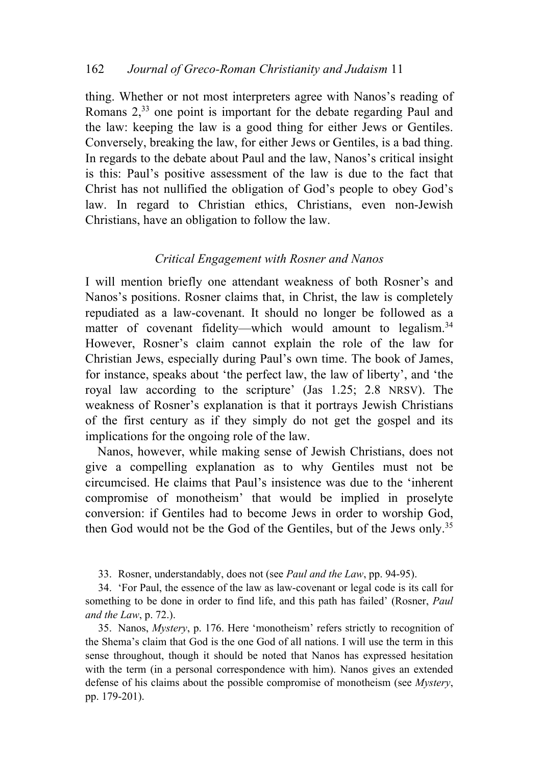thing. Whether or not most interpreters agree with Nanos's reading of Romans 2,<sup>33</sup> one point is important for the debate regarding Paul and the law: keeping the law is a good thing for either Jews or Gentiles. Conversely, breaking the law, for either Jews or Gentiles, is a bad thing. In regards to the debate about Paul and the law, Nanos's critical insight is this: Paul's positive assessment of the law is due to the fact that Christ has not nullified the obligation of God's people to obey God's law. In regard to Christian ethics, Christians, even non-Jewish Christians, have an obligation to follow the law.

# *Critical Engagement with Rosner and Nanos*

I will mention briefly one attendant weakness of both Rosner's and Nanos's positions. Rosner claims that, in Christ, the law is completely repudiated as a law-covenant. It should no longer be followed as a matter of covenant fidelity—which would amount to legalism.<sup>34</sup> However, Rosner's claim cannot explain the role of the law for Christian Jews, especially during Paul's own time. The book of James, for instance, speaks about 'the perfect law, the law of liberty', and 'the royal law according to the scripture' (Jas 1.25; 2.8 NRSV). The weakness of Rosner's explanation is that it portrays Jewish Christians of the first century as if they simply do not get the gospel and its implications for the ongoing role of the law.

Nanos, however, while making sense of Jewish Christians, does not give a compelling explanation as to why Gentiles must not be circumcised. He claims that Paul's insistence was due to the 'inherent compromise of monotheism' that would be implied in proselyte conversion: if Gentiles had to become Jews in order to worship God, then God would not be the God of the Gentiles, but of the Jews only.35

33. Rosner, understandably, does not (see *Paul and the Law*, pp. 94-95).

34. 'For Paul, the essence of the law as law-covenant or legal code is its call for something to be done in order to find life, and this path has failed' (Rosner, *Paul and the Law*, p. 72.).

35. Nanos, *Mystery*, p. 176. Here 'monotheism' refers strictly to recognition of the Shema's claim that God is the one God of all nations. I will use the term in this sense throughout, though it should be noted that Nanos has expressed hesitation with the term (in a personal correspondence with him). Nanos gives an extended defense of his claims about the possible compromise of monotheism (see *Mystery*, pp. 179-201).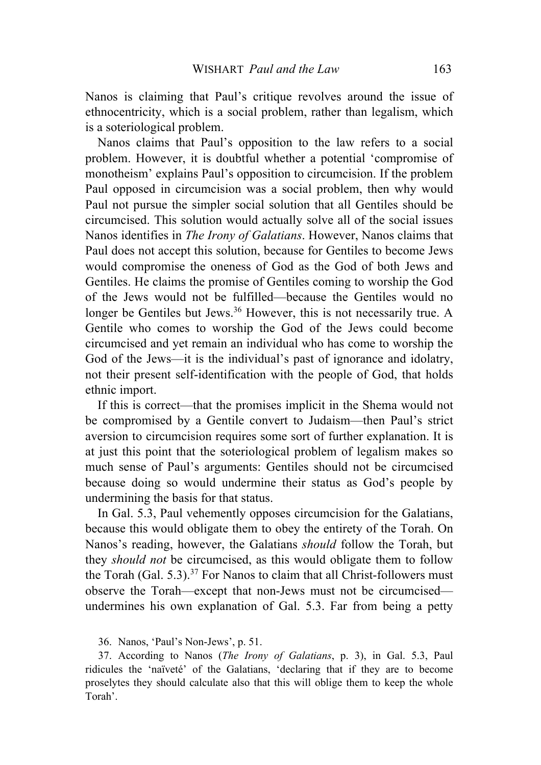Nanos is claiming that Paul's critique revolves around the issue of ethnocentricity, which is a social problem, rather than legalism, which is a soteriological problem.

Nanos claims that Paul's opposition to the law refers to a social problem. However, it is doubtful whether a potential 'compromise of monotheism' explains Paul's opposition to circumcision. If the problem Paul opposed in circumcision was a social problem, then why would Paul not pursue the simpler social solution that all Gentiles should be circumcised. This solution would actually solve all of the social issues Nanos identifies in *The Irony of Galatians*. However, Nanos claims that Paul does not accept this solution, because for Gentiles to become Jews would compromise the oneness of God as the God of both Jews and Gentiles. He claims the promise of Gentiles coming to worship the God of the Jews would not be fulfilled—because the Gentiles would no longer be Gentiles but Jews.<sup>36</sup> However, this is not necessarily true. A Gentile who comes to worship the God of the Jews could become circumcised and yet remain an individual who has come to worship the God of the Jews—it is the individual's past of ignorance and idolatry, not their present self-identification with the people of God, that holds ethnic import.

If this is correct—that the promises implicit in the Shema would not be compromised by a Gentile convert to Judaism—then Paul's strict aversion to circumcision requires some sort of further explanation. It is at just this point that the soteriological problem of legalism makes so much sense of Paul's arguments: Gentiles should not be circumcised because doing so would undermine their status as God's people by undermining the basis for that status.

In Gal. 5.3, Paul vehemently opposes circumcision for the Galatians, because this would obligate them to obey the entirety of the Torah. On Nanos's reading, however, the Galatians *should* follow the Torah, but they *should not* be circumcised, as this would obligate them to follow the Torah (Gal. 5.3).<sup>37</sup> For Nanos to claim that all Christ-followers must observe the Torah—except that non-Jews must not be circumcised undermines his own explanation of Gal. 5.3. Far from being a petty

36. Nanos, 'Paul's Non-Jews', p. 51.

37. According to Nanos (*The Irony of Galatians*, p. 3), in Gal. 5.3, Paul ridicules the 'naïveté' of the Galatians, 'declaring that if they are to become proselytes they should calculate also that this will oblige them to keep the whole Torah'.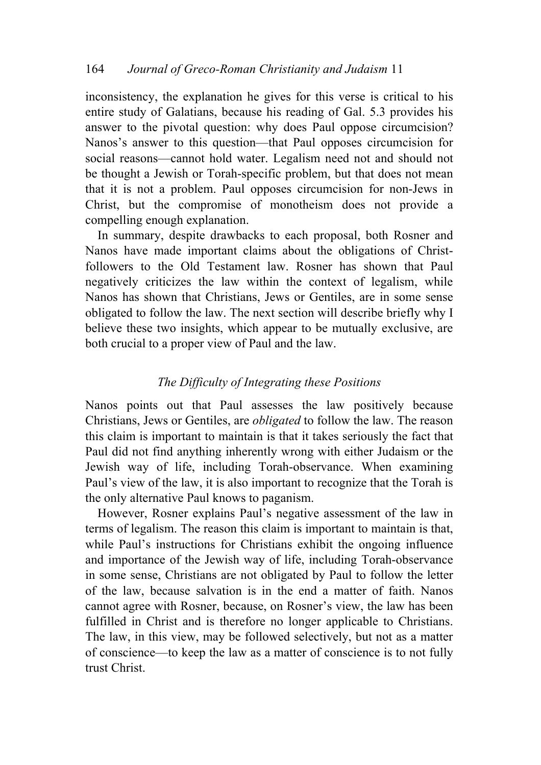inconsistency, the explanation he gives for this verse is critical to his entire study of Galatians, because his reading of Gal. 5.3 provides his answer to the pivotal question: why does Paul oppose circumcision? Nanos's answer to this question—that Paul opposes circumcision for social reasons—cannot hold water. Legalism need not and should not be thought a Jewish or Torah-specific problem, but that does not mean that it is not a problem. Paul opposes circumcision for non-Jews in Christ, but the compromise of monotheism does not provide a compelling enough explanation.

In summary, despite drawbacks to each proposal, both Rosner and Nanos have made important claims about the obligations of Christfollowers to the Old Testament law. Rosner has shown that Paul negatively criticizes the law within the context of legalism, while Nanos has shown that Christians, Jews or Gentiles, are in some sense obligated to follow the law. The next section will describe briefly why I believe these two insights, which appear to be mutually exclusive, are both crucial to a proper view of Paul and the law.

# *The Difficulty of Integrating these Positions*

Nanos points out that Paul assesses the law positively because Christians, Jews or Gentiles, are *obligated* to follow the law. The reason this claim is important to maintain is that it takes seriously the fact that Paul did not find anything inherently wrong with either Judaism or the Jewish way of life, including Torah-observance. When examining Paul's view of the law, it is also important to recognize that the Torah is the only alternative Paul knows to paganism.

However, Rosner explains Paul's negative assessment of the law in terms of legalism. The reason this claim is important to maintain is that, while Paul's instructions for Christians exhibit the ongoing influence and importance of the Jewish way of life, including Torah-observance in some sense, Christians are not obligated by Paul to follow the letter of the law, because salvation is in the end a matter of faith. Nanos cannot agree with Rosner, because, on Rosner's view, the law has been fulfilled in Christ and is therefore no longer applicable to Christians. The law, in this view, may be followed selectively, but not as a matter of conscience—to keep the law as a matter of conscience is to not fully trust Christ.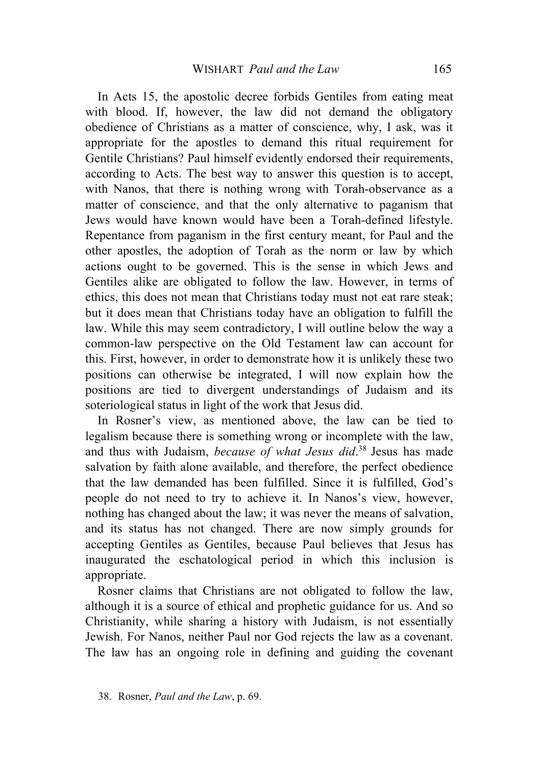In Acts 15, the apostolic decree forbids Gentiles from eating meat with blood. If, however, the law did not demand the obligatory obedience of Christians as a matter of conscience, why, I ask, was it appropriate for the apostles to demand this ritual requirement for Gentile Christians? Paul himself evidently endorsed their requirements, according to Acts. The best way to answer this question is to accept, with Nanos, that there is nothing wrong with Torah-observance as a matter of conscience, and that the only alternative to paganism that Jews would have known would have been a Torah-defined lifestyle. Repentance from paganism in the first century meant, for Paul and the other apostles, the adoption of Torah as the norm or law by which actions ought to be governed. This is the sense in which Jews and Gentiles alike are obligated to follow the law. However, in terms of ethics, this does not mean that Christians today must not eat rare steak; but it does mean that Christians today have an obligation to fulfill the law. While this may seem contradictory, I will outline below the way a common-law perspective on the Old Testament law can account for this. First, however, in order to demonstrate how it is unlikely these two positions can otherwise be integrated, I will now explain how the positions are tied to divergent understandings of Judaism and its soteriological status in light of the work that Jesus did.

In Rosner's view, as mentioned above, the law can be tied to legalism because there is something wrong or incomplete with the law, and thus with Judaism, *because of what Jesus did*. <sup>38</sup> Jesus has made salvation by faith alone available, and therefore, the perfect obedience that the law demanded has been fulfilled. Since it is fulfilled, God's people do not need to try to achieve it. In Nanos's view, however, nothing has changed about the law; it was never the means of salvation, and its status has not changed. There are now simply grounds for accepting Gentiles as Gentiles, because Paul believes that Jesus has inaugurated the eschatological period in which this inclusion is appropriate.

Rosner claims that Christians are not obligated to follow the law, although it is a source of ethical and prophetic guidance for us. And so Christianity, while sharing a history with Judaism, is not essentially Jewish. For Nanos, neither Paul nor God rejects the law as a covenant. The law has an ongoing role in defining and guiding the covenant

<sup>38.</sup> Rosner, *Paul and the Law*, p. 69.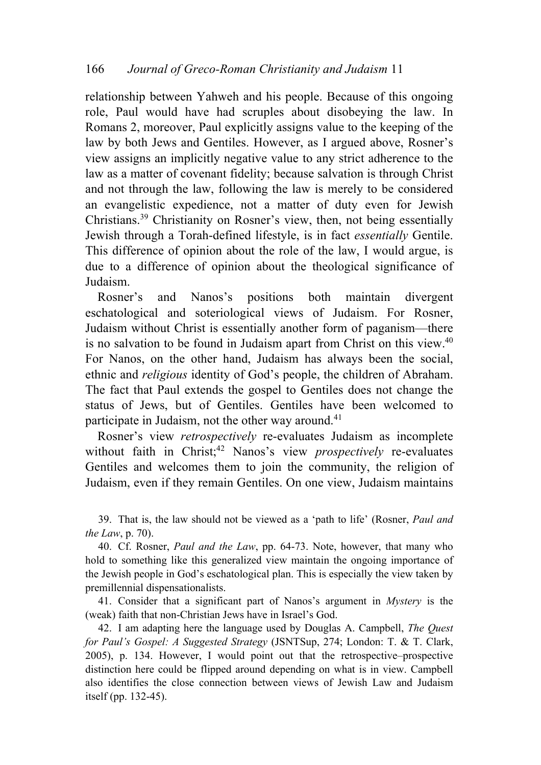relationship between Yahweh and his people. Because of this ongoing role, Paul would have had scruples about disobeying the law. In Romans 2, moreover, Paul explicitly assigns value to the keeping of the law by both Jews and Gentiles. However, as I argued above, Rosner's view assigns an implicitly negative value to any strict adherence to the law as a matter of covenant fidelity; because salvation is through Christ and not through the law, following the law is merely to be considered an evangelistic expedience, not a matter of duty even for Jewish Christians.39 Christianity on Rosner's view, then, not being essentially Jewish through a Torah-defined lifestyle, is in fact *essentially* Gentile. This difference of opinion about the role of the law, I would argue, is due to a difference of opinion about the theological significance of Judaism.

Rosner's and Nanos's positions both maintain divergent eschatological and soteriological views of Judaism. For Rosner, Judaism without Christ is essentially another form of paganism—there is no salvation to be found in Judaism apart from Christ on this view.40 For Nanos, on the other hand, Judaism has always been the social, ethnic and *religious* identity of God's people, the children of Abraham. The fact that Paul extends the gospel to Gentiles does not change the status of Jews, but of Gentiles. Gentiles have been welcomed to participate in Judaism, not the other way around.<sup>41</sup>

Rosner's view *retrospectively* re-evaluates Judaism as incomplete without faith in Christ;<sup>42</sup> Nanos's view *prospectively* re-evaluates Gentiles and welcomes them to join the community, the religion of Judaism, even if they remain Gentiles. On one view, Judaism maintains

39. That is, the law should not be viewed as a 'path to life' (Rosner, *Paul and the Law*, p. 70).

40. Cf. Rosner, *Paul and the Law*, pp. 64-73. Note, however, that many who hold to something like this generalized view maintain the ongoing importance of the Jewish people in God's eschatological plan. This is especially the view taken by premillennial dispensationalists.

41. Consider that a significant part of Nanos's argument in *Mystery* is the (weak) faith that non-Christian Jews have in Israel's God.

42. I am adapting here the language used by Douglas A. Campbell, *The Quest for Paul's Gospel: A Suggested Strategy* (JSNTSup, 274; London: T. & T. Clark, 2005), p. 134. However, I would point out that the retrospective–prospective distinction here could be flipped around depending on what is in view. Campbell also identifies the close connection between views of Jewish Law and Judaism itself (pp. 132-45).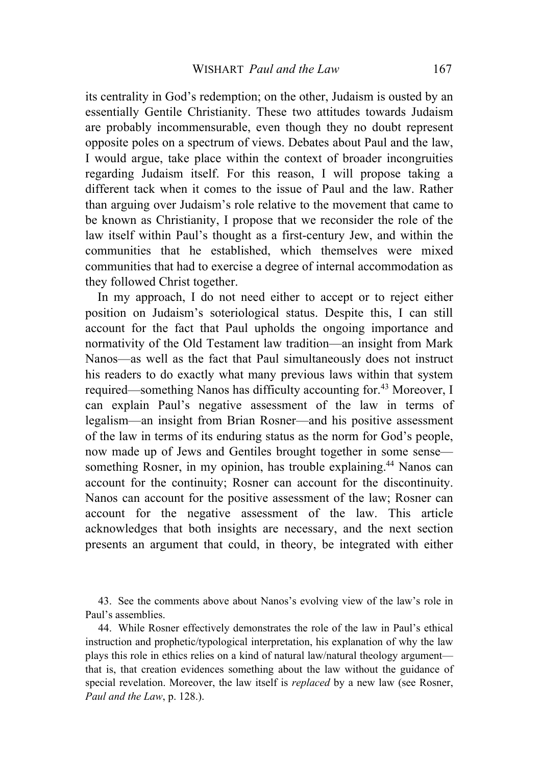its centrality in God's redemption; on the other, Judaism is ousted by an essentially Gentile Christianity. These two attitudes towards Judaism are probably incommensurable, even though they no doubt represent opposite poles on a spectrum of views. Debates about Paul and the law, I would argue, take place within the context of broader incongruities regarding Judaism itself. For this reason, I will propose taking a different tack when it comes to the issue of Paul and the law. Rather than arguing over Judaism's role relative to the movement that came to be known as Christianity, I propose that we reconsider the role of the law itself within Paul's thought as a first-century Jew, and within the communities that he established, which themselves were mixed communities that had to exercise a degree of internal accommodation as they followed Christ together.

In my approach, I do not need either to accept or to reject either position on Judaism's soteriological status. Despite this, I can still account for the fact that Paul upholds the ongoing importance and normativity of the Old Testament law tradition—an insight from Mark Nanos—as well as the fact that Paul simultaneously does not instruct his readers to do exactly what many previous laws within that system required—something Nanos has difficulty accounting for.<sup>43</sup> Moreover, I can explain Paul's negative assessment of the law in terms of legalism—an insight from Brian Rosner—and his positive assessment of the law in terms of its enduring status as the norm for God's people, now made up of Jews and Gentiles brought together in some sense something Rosner, in my opinion, has trouble explaining.<sup>44</sup> Nanos can account for the continuity; Rosner can account for the discontinuity. Nanos can account for the positive assessment of the law; Rosner can account for the negative assessment of the law. This article acknowledges that both insights are necessary, and the next section presents an argument that could, in theory, be integrated with either

43. See the comments above about Nanos's evolving view of the law's role in Paul's assemblies.

44. While Rosner effectively demonstrates the role of the law in Paul's ethical instruction and prophetic/typological interpretation, his explanation of why the law plays this role in ethics relies on a kind of natural law/natural theology argument that is, that creation evidences something about the law without the guidance of special revelation. Moreover, the law itself is *replaced* by a new law (see Rosner, *Paul and the Law*, p. 128.).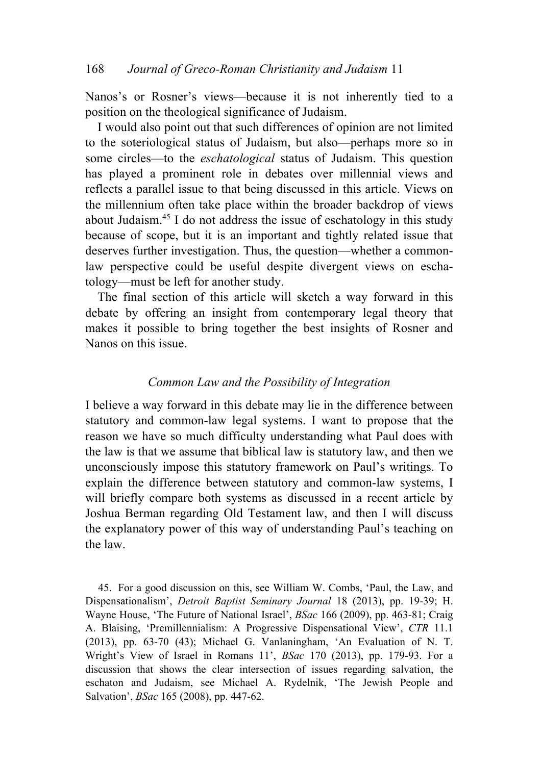Nanos's or Rosner's views—because it is not inherently tied to a position on the theological significance of Judaism.

I would also point out that such differences of opinion are not limited to the soteriological status of Judaism, but also—perhaps more so in some circles—to the *eschatological* status of Judaism. This question has played a prominent role in debates over millennial views and reflects a parallel issue to that being discussed in this article. Views on the millennium often take place within the broader backdrop of views about Judaism.45 I do not address the issue of eschatology in this study because of scope, but it is an important and tightly related issue that deserves further investigation. Thus, the question—whether a commonlaw perspective could be useful despite divergent views on eschatology—must be left for another study.

The final section of this article will sketch a way forward in this debate by offering an insight from contemporary legal theory that makes it possible to bring together the best insights of Rosner and Nanos on this issue.

### *Common Law and the Possibility of Integration*

I believe a way forward in this debate may lie in the difference between statutory and common-law legal systems. I want to propose that the reason we have so much difficulty understanding what Paul does with the law is that we assume that biblical law is statutory law, and then we unconsciously impose this statutory framework on Paul's writings. To explain the difference between statutory and common-law systems, I will briefly compare both systems as discussed in a recent article by Joshua Berman regarding Old Testament law, and then I will discuss the explanatory power of this way of understanding Paul's teaching on the law.

45. For a good discussion on this, see William W. Combs, 'Paul, the Law, and Dispensationalism', *Detroit Baptist Seminary Journal* 18 (2013), pp. 19-39; H. Wayne House, 'The Future of National Israel', *BSac* 166 (2009), pp. 463-81; Craig A. Blaising, 'Premillennialism: A Progressive Dispensational View', *CTR* 11.1 (2013), pp. 63-70 (43); Michael G. Vanlaningham, 'An Evaluation of N. T. Wright's View of Israel in Romans 11', *BSac* 170 (2013), pp. 179-93. For a discussion that shows the clear intersection of issues regarding salvation, the eschaton and Judaism, see Michael A. Rydelnik, 'The Jewish People and Salvation', *BSac* 165 (2008), pp. 447-62.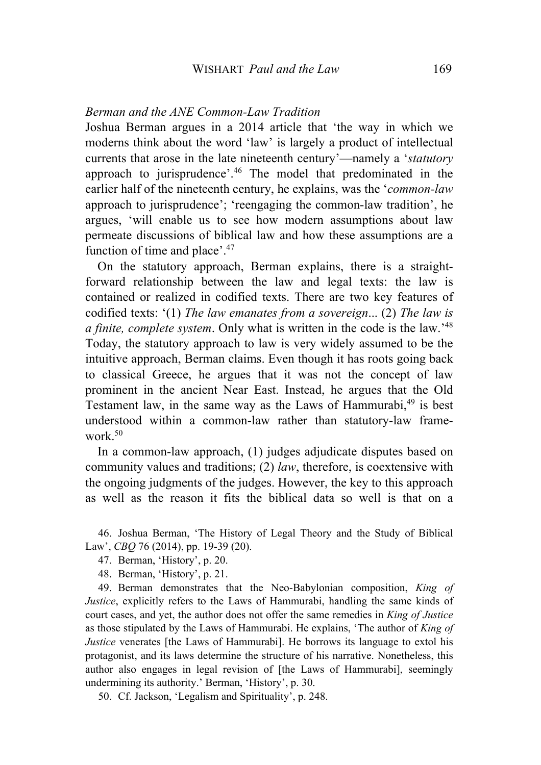#### *Berman and the ANE Common-Law Tradition*

Joshua Berman argues in a 2014 article that 'the way in which we moderns think about the word 'law' is largely a product of intellectual currents that arose in the late nineteenth century'—namely a '*statutory* approach to jurisprudence'.46 The model that predominated in the earlier half of the nineteenth century, he explains, was the '*common-law*  approach to jurisprudence'; 'reengaging the common-law tradition', he argues, 'will enable us to see how modern assumptions about law permeate discussions of biblical law and how these assumptions are a function of time and place'.<sup>47</sup>

On the statutory approach, Berman explains, there is a straightforward relationship between the law and legal texts: the law is contained or realized in codified texts. There are two key features of codified texts: '(1) *The law emanates from a sovereign*... (2) *The law is a finite, complete system*. Only what is written in the code is the law.' 48 Today, the statutory approach to law is very widely assumed to be the intuitive approach, Berman claims. Even though it has roots going back to classical Greece, he argues that it was not the concept of law prominent in the ancient Near East. Instead, he argues that the Old Testament law, in the same way as the Laws of Hammurabi, <sup>49</sup> is best understood within a common-law rather than statutory-law framework.50

In a common-law approach, (1) judges adjudicate disputes based on community values and traditions; (2) *law*, therefore, is coextensive with the ongoing judgments of the judges. However, the key to this approach as well as the reason it fits the biblical data so well is that on a

46. Joshua Berman, 'The History of Legal Theory and the Study of Biblical Law', *CBQ* 76 (2014), pp. 19-39 (20).

47. Berman, 'History', p. 20.

48. Berman, 'History', p. 21.

49. Berman demonstrates that the Neo-Babylonian composition, *King of Justice*, explicitly refers to the Laws of Hammurabi, handling the same kinds of court cases, and yet, the author does not offer the same remedies in *King of Justice* as those stipulated by the Laws of Hammurabi. He explains, 'The author of *King of Justice* venerates [the Laws of Hammurabi]. He borrows its language to extol his protagonist, and its laws determine the structure of his narrative. Nonetheless, this author also engages in legal revision of [the Laws of Hammurabi], seemingly undermining its authority.' Berman, 'History', p. 30.

50. Cf. Jackson, 'Legalism and Spirituality', p. 248.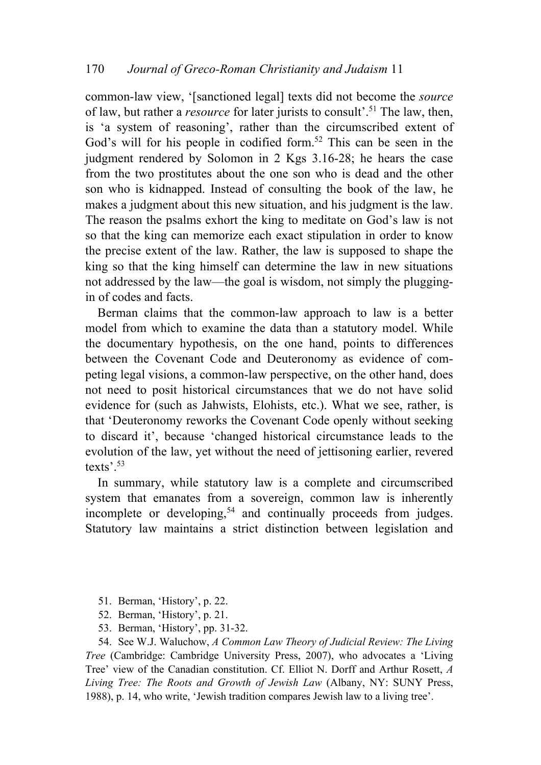common-law view, '[sanctioned legal] texts did not become the *source* of law, but rather a *resource* for later jurists to consult<sup>5.</sup><sup>51</sup> The law, then, is 'a system of reasoning', rather than the circumscribed extent of God's will for his people in codified form.<sup>52</sup> This can be seen in the judgment rendered by Solomon in 2 Kgs 3.16-28; he hears the case from the two prostitutes about the one son who is dead and the other son who is kidnapped. Instead of consulting the book of the law, he makes a judgment about this new situation, and his judgment is the law. The reason the psalms exhort the king to meditate on God's law is not so that the king can memorize each exact stipulation in order to know the precise extent of the law. Rather, the law is supposed to shape the king so that the king himself can determine the law in new situations not addressed by the law—the goal is wisdom, not simply the pluggingin of codes and facts.

Berman claims that the common-law approach to law is a better model from which to examine the data than a statutory model. While the documentary hypothesis, on the one hand, points to differences between the Covenant Code and Deuteronomy as evidence of competing legal visions, a common-law perspective, on the other hand, does not need to posit historical circumstances that we do not have solid evidence for (such as Jahwists, Elohists, etc.). What we see, rather, is that 'Deuteronomy reworks the Covenant Code openly without seeking to discard it', because 'changed historical circumstance leads to the evolution of the law, yet without the need of jettisoning earlier, revered texts'.53

In summary, while statutory law is a complete and circumscribed system that emanates from a sovereign, common law is inherently incomplete or developing,<sup>54</sup> and continually proceeds from judges. Statutory law maintains a strict distinction between legislation and

- 51. Berman, 'History', p. 22.
- 52. Berman, 'History', p. 21.
- 53. Berman, 'History', pp. 31-32.

54. See W.J. Waluchow, *A Common Law Theory of Judicial Review: The Living Tree* (Cambridge: Cambridge University Press, 2007), who advocates a 'Living Tree' view of the Canadian constitution. Cf. Elliot N. Dorff and Arthur Rosett, *A Living Tree: The Roots and Growth of Jewish Law* (Albany, NY: SUNY Press, 1988), p. 14, who write, 'Jewish tradition compares Jewish law to a living tree'.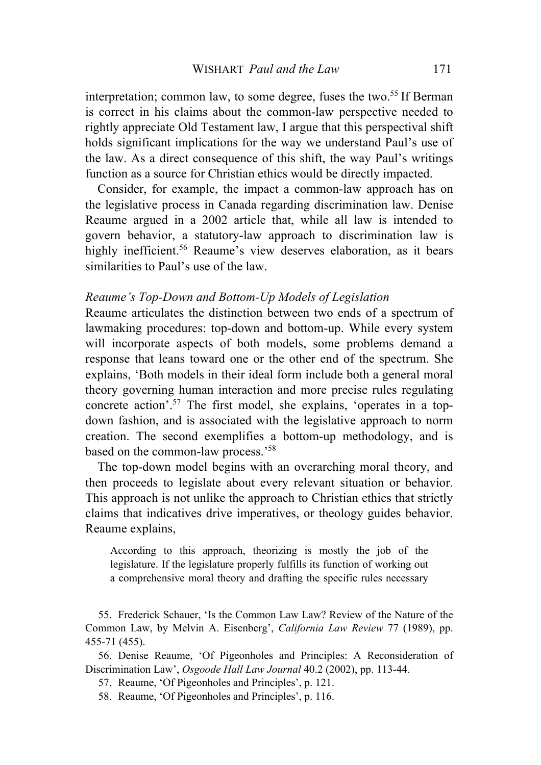interpretation; common law, to some degree, fuses the two.<sup>55</sup> If Berman is correct in his claims about the common-law perspective needed to rightly appreciate Old Testament law, I argue that this perspectival shift holds significant implications for the way we understand Paul's use of the law. As a direct consequence of this shift, the way Paul's writings function as a source for Christian ethics would be directly impacted.

Consider, for example, the impact a common-law approach has on the legislative process in Canada regarding discrimination law. Denise Reaume argued in a 2002 article that, while all law is intended to govern behavior, a statutory-law approach to discrimination law is highly inefficient.<sup>56</sup> Reaume's view deserves elaboration, as it bears similarities to Paul's use of the law.

#### *Reaume's Top-Down and Bottom-Up Models of Legislation*

Reaume articulates the distinction between two ends of a spectrum of lawmaking procedures: top-down and bottom-up. While every system will incorporate aspects of both models, some problems demand a response that leans toward one or the other end of the spectrum. She explains, 'Both models in their ideal form include both a general moral theory governing human interaction and more precise rules regulating concrete action'.57 The first model, she explains, 'operates in a topdown fashion, and is associated with the legislative approach to norm creation. The second exemplifies a bottom-up methodology, and is based on the common-law process.'<sup>58</sup>

The top-down model begins with an overarching moral theory, and then proceeds to legislate about every relevant situation or behavior. This approach is not unlike the approach to Christian ethics that strictly claims that indicatives drive imperatives, or theology guides behavior. Reaume explains,

According to this approach, theorizing is mostly the job of the legislature. If the legislature properly fulfills its function of working out a comprehensive moral theory and drafting the specific rules necessary

55. Frederick Schauer, 'Is the Common Law Law? Review of the Nature of the Common Law, by Melvin A. Eisenberg', *California Law Review* 77 (1989), pp. 455-71 (455).

56. Denise Reaume, 'Of Pigeonholes and Principles: A Reconsideration of Discrimination Law', *Osgoode Hall Law Journal* 40.2 (2002), pp. 113-44.

57. Reaume, 'Of Pigeonholes and Principles', p. 121.

58. Reaume, 'Of Pigeonholes and Principles', p. 116.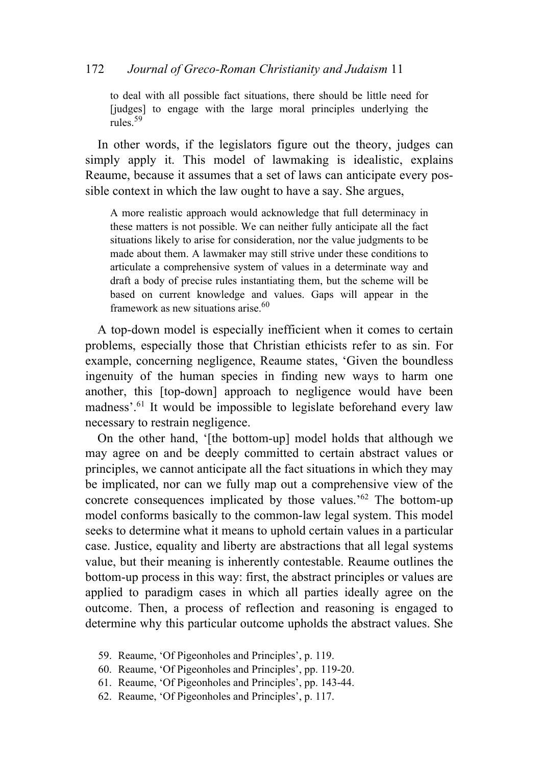### 172 *Journal of Greco-Roman Christianity and Judaism* 11

to deal with all possible fact situations, there should be little need for [judges] to engage with the large moral principles underlying the rules<sup>59</sup>

In other words, if the legislators figure out the theory, judges can simply apply it. This model of lawmaking is idealistic, explains Reaume, because it assumes that a set of laws can anticipate every possible context in which the law ought to have a say. She argues,

A more realistic approach would acknowledge that full determinacy in these matters is not possible. We can neither fully anticipate all the fact situations likely to arise for consideration, nor the value judgments to be made about them. A lawmaker may still strive under these conditions to articulate a comprehensive system of values in a determinate way and draft a body of precise rules instantiating them, but the scheme will be based on current knowledge and values. Gaps will appear in the framework as new situations arise. $60$ 

A top-down model is especially inefficient when it comes to certain problems, especially those that Christian ethicists refer to as sin. For example, concerning negligence, Reaume states, 'Given the boundless ingenuity of the human species in finding new ways to harm one another, this [top-down] approach to negligence would have been madness'.61 It would be impossible to legislate beforehand every law necessary to restrain negligence.

On the other hand, '[the bottom-up] model holds that although we may agree on and be deeply committed to certain abstract values or principles, we cannot anticipate all the fact situations in which they may be implicated, nor can we fully map out a comprehensive view of the concrete consequences implicated by those values.' <sup>62</sup> The bottom-up model conforms basically to the common-law legal system. This model seeks to determine what it means to uphold certain values in a particular case. Justice, equality and liberty are abstractions that all legal systems value, but their meaning is inherently contestable. Reaume outlines the bottom-up process in this way: first, the abstract principles or values are applied to paradigm cases in which all parties ideally agree on the outcome. Then, a process of reflection and reasoning is engaged to determine why this particular outcome upholds the abstract values. She

- 59. Reaume, 'Of Pigeonholes and Principles', p. 119.
- 60. Reaume, 'Of Pigeonholes and Principles', pp. 119-20.
- 61. Reaume, 'Of Pigeonholes and Principles', pp. 143-44.
- 62. Reaume, 'Of Pigeonholes and Principles', p. 117.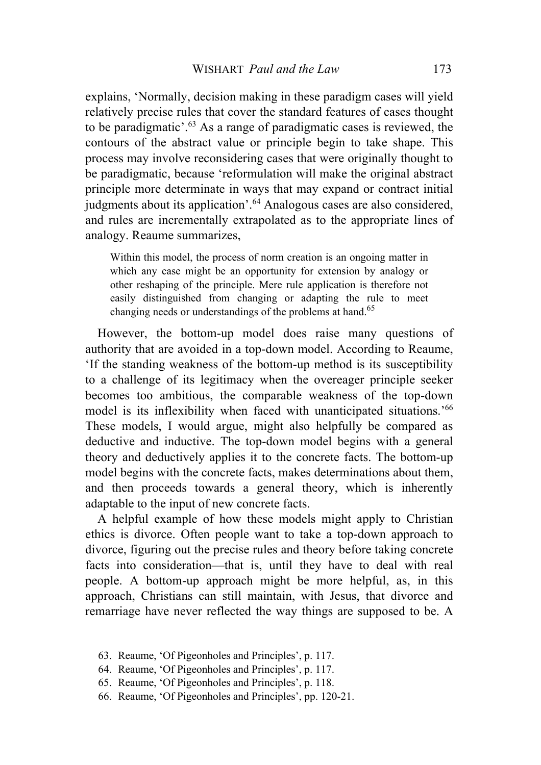explains, 'Normally, decision making in these paradigm cases will yield relatively precise rules that cover the standard features of cases thought to be paradigmatic'.63 As a range of paradigmatic cases is reviewed, the contours of the abstract value or principle begin to take shape. This process may involve reconsidering cases that were originally thought to be paradigmatic, because 'reformulation will make the original abstract principle more determinate in ways that may expand or contract initial judgments about its application'.<sup>64</sup> Analogous cases are also considered, and rules are incrementally extrapolated as to the appropriate lines of analogy. Reaume summarizes,

Within this model, the process of norm creation is an ongoing matter in which any case might be an opportunity for extension by analogy or other reshaping of the principle. Mere rule application is therefore not easily distinguished from changing or adapting the rule to meet changing needs or understandings of the problems at hand.<sup>65</sup>

However, the bottom-up model does raise many questions of authority that are avoided in a top-down model. According to Reaume, 'If the standing weakness of the bottom-up method is its susceptibility to a challenge of its legitimacy when the overeager principle seeker becomes too ambitious, the comparable weakness of the top-down model is its inflexibility when faced with unanticipated situations.' 66 These models, I would argue, might also helpfully be compared as deductive and inductive. The top-down model begins with a general theory and deductively applies it to the concrete facts. The bottom-up model begins with the concrete facts, makes determinations about them, and then proceeds towards a general theory, which is inherently adaptable to the input of new concrete facts.

A helpful example of how these models might apply to Christian ethics is divorce. Often people want to take a top-down approach to divorce, figuring out the precise rules and theory before taking concrete facts into consideration—that is, until they have to deal with real people. A bottom-up approach might be more helpful, as, in this approach, Christians can still maintain, with Jesus, that divorce and remarriage have never reflected the way things are supposed to be. A

- 63. Reaume, 'Of Pigeonholes and Principles', p. 117.
- 64. Reaume, 'Of Pigeonholes and Principles', p. 117.
- 65. Reaume, 'Of Pigeonholes and Principles', p. 118.
- 66. Reaume, 'Of Pigeonholes and Principles', pp. 120-21.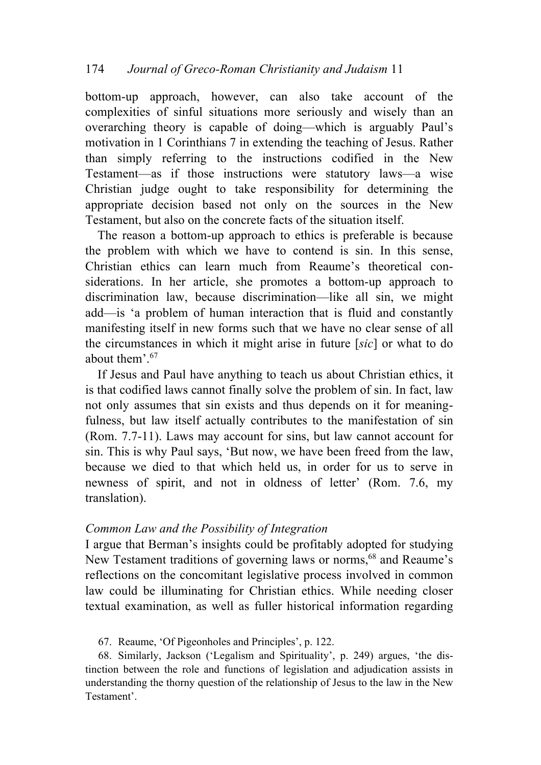# 174 *Journal of Greco-Roman Christianity and Judaism* 11

bottom-up approach, however, can also take account of the complexities of sinful situations more seriously and wisely than an overarching theory is capable of doing—which is arguably Paul's motivation in 1 Corinthians 7 in extending the teaching of Jesus. Rather than simply referring to the instructions codified in the New Testament—as if those instructions were statutory laws—a wise Christian judge ought to take responsibility for determining the appropriate decision based not only on the sources in the New Testament, but also on the concrete facts of the situation itself.

The reason a bottom-up approach to ethics is preferable is because the problem with which we have to contend is sin. In this sense, Christian ethics can learn much from Reaume's theoretical considerations. In her article, she promotes a bottom-up approach to discrimination law, because discrimination—like all sin, we might add—is 'a problem of human interaction that is fluid and constantly manifesting itself in new forms such that we have no clear sense of all the circumstances in which it might arise in future [*sic*] or what to do about them'.67

If Jesus and Paul have anything to teach us about Christian ethics, it is that codified laws cannot finally solve the problem of sin. In fact, law not only assumes that sin exists and thus depends on it for meaningfulness, but law itself actually contributes to the manifestation of sin (Rom. 7.7-11). Laws may account for sins, but law cannot account for sin. This is why Paul says, 'But now, we have been freed from the law, because we died to that which held us, in order for us to serve in newness of spirit, and not in oldness of letter' (Rom. 7.6, my translation).

### *Common Law and the Possibility of Integration*

I argue that Berman's insights could be profitably adopted for studying New Testament traditions of governing laws or norms,<sup>68</sup> and Reaume's reflections on the concomitant legislative process involved in common law could be illuminating for Christian ethics. While needing closer textual examination, as well as fuller historical information regarding

67. Reaume, 'Of Pigeonholes and Principles', p. 122.

68. Similarly, Jackson ('Legalism and Spirituality', p. 249) argues, 'the distinction between the role and functions of legislation and adjudication assists in understanding the thorny question of the relationship of Jesus to the law in the New Testament'.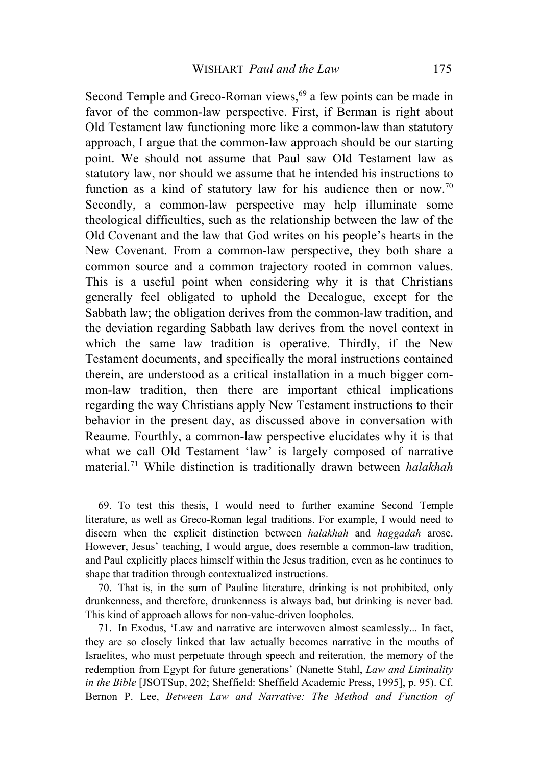Second Temple and Greco-Roman views,<sup>69</sup> a few points can be made in favor of the common-law perspective. First, if Berman is right about Old Testament law functioning more like a common-law than statutory approach, I argue that the common-law approach should be our starting point. We should not assume that Paul saw Old Testament law as statutory law, nor should we assume that he intended his instructions to function as a kind of statutory law for his audience then or now.<sup>70</sup> Secondly, a common-law perspective may help illuminate some theological difficulties, such as the relationship between the law of the Old Covenant and the law that God writes on his people's hearts in the New Covenant. From a common-law perspective, they both share a common source and a common trajectory rooted in common values. This is a useful point when considering why it is that Christians generally feel obligated to uphold the Decalogue, except for the Sabbath law; the obligation derives from the common-law tradition, and the deviation regarding Sabbath law derives from the novel context in which the same law tradition is operative. Thirdly, if the New Testament documents, and specifically the moral instructions contained therein, are understood as a critical installation in a much bigger common-law tradition, then there are important ethical implications regarding the way Christians apply New Testament instructions to their behavior in the present day, as discussed above in conversation with Reaume. Fourthly, a common-law perspective elucidates why it is that what we call Old Testament 'law' is largely composed of narrative material.71 While distinction is traditionally drawn between *halakhah*

69. To test this thesis, I would need to further examine Second Temple literature, as well as Greco-Roman legal traditions. For example, I would need to discern when the explicit distinction between *halakhah* and *haggadah* arose. However, Jesus' teaching, I would argue, does resemble a common-law tradition, and Paul explicitly places himself within the Jesus tradition, even as he continues to shape that tradition through contextualized instructions.

70. That is, in the sum of Pauline literature, drinking is not prohibited, only drunkenness, and therefore, drunkenness is always bad, but drinking is never bad. This kind of approach allows for non-value-driven loopholes.

71. In Exodus, 'Law and narrative are interwoven almost seamlessly... In fact, they are so closely linked that law actually becomes narrative in the mouths of Israelites, who must perpetuate through speech and reiteration, the memory of the redemption from Egypt for future generations' (Nanette Stahl, *Law and Liminality in the Bible* [JSOTSup, 202; Sheffield: Sheffield Academic Press, 1995], p. 95). Cf. Bernon P. Lee, *Between Law and Narrative: The Method and Function of*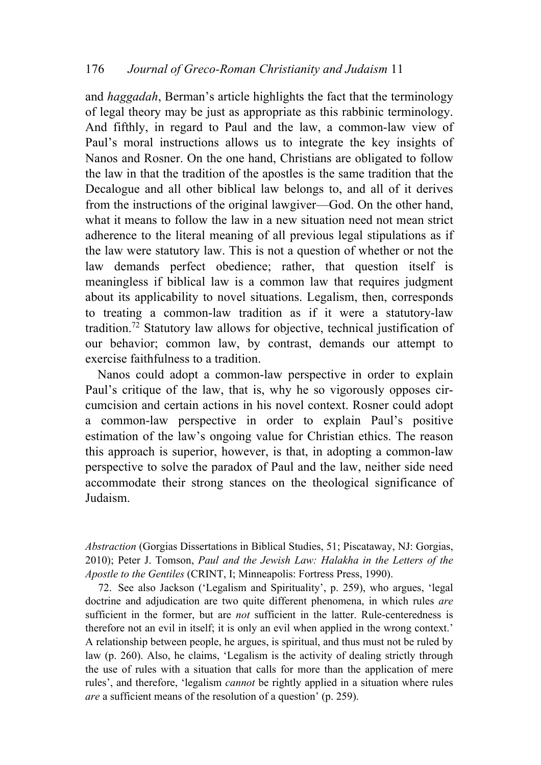and *haggadah*, Berman's article highlights the fact that the terminology of legal theory may be just as appropriate as this rabbinic terminology. And fifthly, in regard to Paul and the law, a common-law view of Paul's moral instructions allows us to integrate the key insights of Nanos and Rosner. On the one hand, Christians are obligated to follow the law in that the tradition of the apostles is the same tradition that the Decalogue and all other biblical law belongs to, and all of it derives from the instructions of the original lawgiver—God. On the other hand, what it means to follow the law in a new situation need not mean strict adherence to the literal meaning of all previous legal stipulations as if the law were statutory law. This is not a question of whether or not the law demands perfect obedience; rather, that question itself is meaningless if biblical law is a common law that requires judgment about its applicability to novel situations. Legalism, then, corresponds to treating a common-law tradition as if it were a statutory-law tradition.72 Statutory law allows for objective, technical justification of our behavior; common law, by contrast, demands our attempt to exercise faithfulness to a tradition.

Nanos could adopt a common-law perspective in order to explain Paul's critique of the law, that is, why he so vigorously opposes circumcision and certain actions in his novel context. Rosner could adopt a common-law perspective in order to explain Paul's positive estimation of the law's ongoing value for Christian ethics. The reason this approach is superior, however, is that, in adopting a common-law perspective to solve the paradox of Paul and the law, neither side need accommodate their strong stances on the theological significance of Judaism.

*Abstraction* (Gorgias Dissertations in Biblical Studies, 51; Piscataway, NJ: Gorgias, 2010); Peter J. Tomson, *Paul and the Jewish Law: Halakha in the Letters of the Apostle to the Gentiles* (CRINT, I; Minneapolis: Fortress Press, 1990).

72. See also Jackson ('Legalism and Spirituality', p. 259), who argues, 'legal doctrine and adjudication are two quite different phenomena, in which rules *are* sufficient in the former, but are *not* sufficient in the latter. Rule-centeredness is therefore not an evil in itself; it is only an evil when applied in the wrong context.' A relationship between people, he argues, is spiritual, and thus must not be ruled by law (p. 260). Also, he claims, 'Legalism is the activity of dealing strictly through the use of rules with a situation that calls for more than the application of mere rules', and therefore, 'legalism *cannot* be rightly applied in a situation where rules *are* a sufficient means of the resolution of a question' (p. 259).